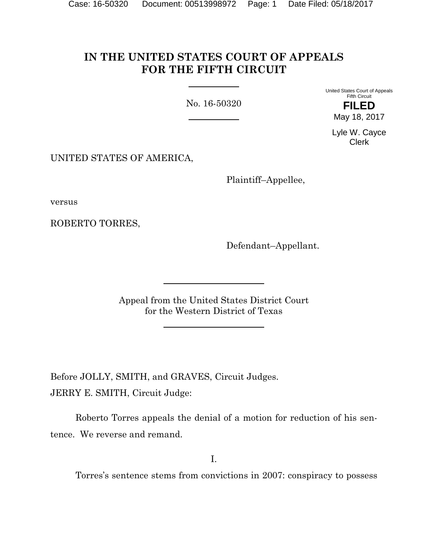# **IN THE UNITED STATES COURT OF APPEALS FOR THE FIFTH CIRCUIT**

No. 16-50320

United States Court of Appeals Fifth Circuit **FILED**

May 18, 2017

Lyle W. Cayce Clerk

UNITED STATES OF AMERICA,

Plaintiff–Appellee,

versus

ROBERTO TORRES,

Defendant–Appellant.

Appeal from the United States District Court for the Western District of Texas

Before JOLLY, SMITH, and GRAVES, Circuit Judges. JERRY E. SMITH, Circuit Judge:

Roberto Torres appeals the denial of a motion for reduction of his sentence. We reverse and remand.

I.

Torres's sentence stems from convictions in 2007: conspiracy to possess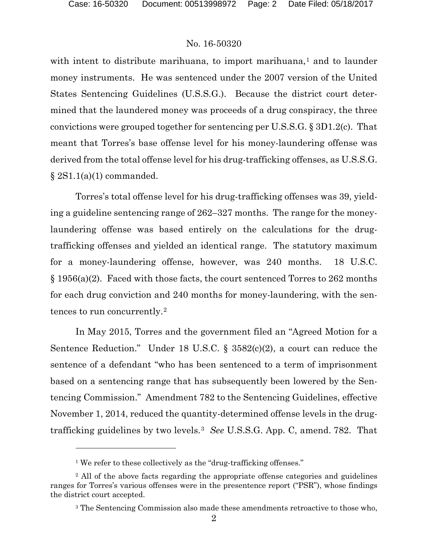# No. 16-50320

with intent to distribute marihuana, to import marihuana, $<sup>1</sup>$  and to launder</sup> money instruments. He was sentenced under the 2007 version of the United States Sentencing Guidelines (U.S.S.G.). Because the district court determined that the laundered money was proceeds of a drug conspiracy, the three convictions were grouped together for sentencing per U.S.S.G. § 3D1.2(c). That meant that Torres's base offense level for his money-laundering offense was derived from the total offense level for his drug-trafficking offenses, as U.S.S.G.  $\S 2S1.1(a)(1)$  commanded.

Torres's total offense level for his drug-trafficking offenses was 39, yielding a guideline sentencing range of 262–327 months. The range for the moneylaundering offense was based entirely on the calculations for the drugtrafficking offenses and yielded an identical range. The statutory maximum for a money-laundering offense, however, was 240 months. 18 U.S.C. § 1956(a)(2). Faced with those facts, the court sentenced Torres to 262 months for each drug conviction and 240 months for money-laundering, with the sentences to run concurrently.2

In May 2015, Torres and the government filed an "Agreed Motion for a Sentence Reduction." Under 18 U.S.C. § 3582(c)(2), a court can reduce the sentence of a defendant "who has been sentenced to a term of imprisonment based on a sentencing range that has subsequently been lowered by the Sentencing Commission." Amendment 782 to the Sentencing Guidelines, effective November 1, 2014, reduced the quantity-determined offense levels in the drugtrafficking guidelines by two levels.3 *See* U.S.S.G. App. C, amend. 782. That

<sup>&</sup>lt;sup>1</sup> We refer to these collectively as the "drug-trafficking offenses."

<sup>2</sup> All of the above facts regarding the appropriate offense categories and guidelines ranges for Torres's various offenses were in the presentence report ("PSR"), whose findings the district court accepted.

<sup>3</sup> The Sentencing Commission also made these amendments retroactive to those who,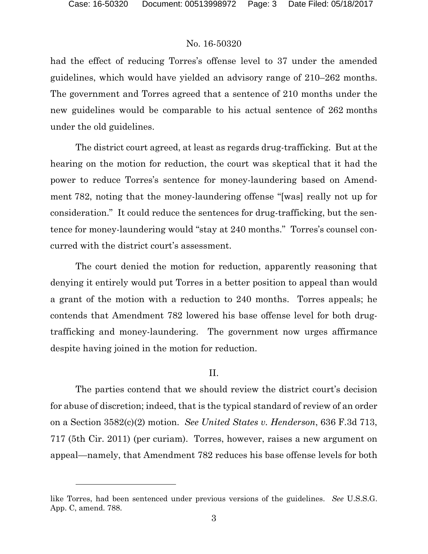## No. 16-50320

had the effect of reducing Torres's offense level to 37 under the amended guidelines, which would have yielded an advisory range of 210–262 months. The government and Torres agreed that a sentence of 210 months under the new guidelines would be comparable to his actual sentence of 262 months under the old guidelines.

The district court agreed, at least as regards drug-trafficking. But at the hearing on the motion for reduction, the court was skeptical that it had the power to reduce Torres's sentence for money-laundering based on Amendment 782, noting that the money-laundering offense "[was] really not up for consideration." It could reduce the sentences for drug-trafficking, but the sentence for money-laundering would "stay at 240 months." Torres's counsel concurred with the district court's assessment.

The court denied the motion for reduction, apparently reasoning that denying it entirely would put Torres in a better position to appeal than would a grant of the motion with a reduction to 240 months. Torres appeals; he contends that Amendment 782 lowered his base offense level for both drugtrafficking and money-laundering. The government now urges affirmance despite having joined in the motion for reduction.

# II.

The parties contend that we should review the district court's decision for abuse of discretion; indeed, that is the typical standard of review of an order on a Section 3582(c)(2) motion. *See United States v. Henderson*, 636 F.3d 713, 717 (5th Cir. 2011) (per curiam). Torres, however, raises a new argument on appeal—namely, that Amendment 782 reduces his base offense levels for both

like Torres, had been sentenced under previous versions of the guidelines. *See* U.S.S.G. App. C, amend. 788.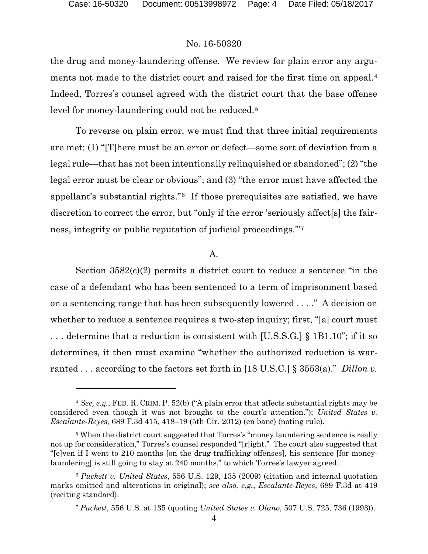$\overline{a}$ 

# No. 16-50320

the drug and money-laundering offense. We review for plain error any arguments not made to the district court and raised for the first time on appeal.<sup>4</sup> Indeed, Torres's counsel agreed with the district court that the base offense level for money-laundering could not be reduced.<sup>5</sup>

To reverse on plain error, we must find that three initial requirements are met: (1) "[T]here must be an error or defect—some sort of deviation from a legal rule—that has not been intentionally relinquished or abandoned"; (2) "the legal error must be clear or obvious"; and (3) "the error must have affected the appellant's substantial rights."6 If those prerequisites are satisfied, we have discretion to correct the error, but "only if the error 'seriously affect[s] the fairness, integrity or public reputation of judicial proceedings.'"7

#### A.

Section 3582(c)(2) permits a district court to reduce a sentence "in the case of a defendant who has been sentenced to a term of imprisonment based on a sentencing range that has been subsequently lowered . . . ." A decision on whether to reduce a sentence requires a two-step inquiry; first, "[a] court must . . . determine that a reduction is consistent with [U.S.S.G.] § 1B1.10"; if it so determines, it then must examine "whether the authorized reduction is warranted . . . according to the factors set forth in [18 U.S.C.] § 3553(a)." *Dillon v.* 

<sup>4</sup> *See, e.g.*, FED. R. CRIM. P. 52(b) ("A plain error that affects substantial rights may be considered even though it was not brought to the court's attention."); *United States v. Escalante-Reyes*, 689 F.3d 415, 418–19 (5th Cir. 2012) (en banc) (noting rule).

<sup>&</sup>lt;sup>5</sup> When the district court suggested that Torres's "money laundering sentence is really not up for consideration," Torres's counsel responded "[r]ight." The court also suggested that "[e]ven if I went to 210 months [on the drug-trafficking offenses], his sentence [for moneylaundering] is still going to stay at 240 months," to which Torres's lawyer agreed.

<sup>6</sup> *Puckett v. United States*, 556 U.S. 129, 135 (2009) (citation and internal quotation marks omitted and alterations in original); *see also, e.g.*, *Escalante-Reyes*, 689 F.3d at 419 (reciting standard).

<sup>7</sup> *Puckett*, 556 U.S. at 135 (quoting *United States v. Olano*, 507 U.S. 725, 736 (1993)).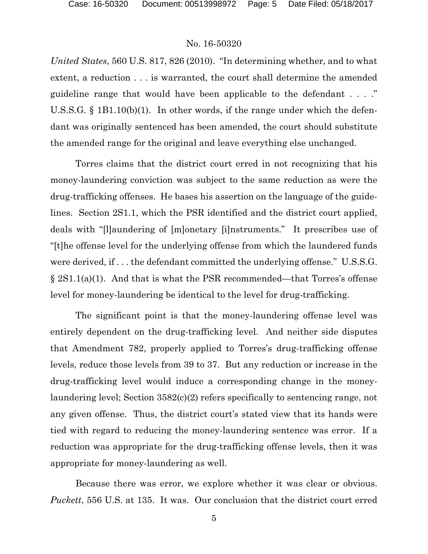### No. 16-50320

*United States*, 560 U.S. 817, 826 (2010). "In determining whether, and to what extent, a reduction . . . is warranted, the court shall determine the amended guideline range that would have been applicable to the defendant . . . ." U.S.S.G. § 1B1.10(b)(1). In other words, if the range under which the defendant was originally sentenced has been amended, the court should substitute the amended range for the original and leave everything else unchanged.

Torres claims that the district court erred in not recognizing that his money-laundering conviction was subject to the same reduction as were the drug-trafficking offenses. He bases his assertion on the language of the guidelines. Section 2S1.1, which the PSR identified and the district court applied, deals with "[l]aundering of [m]onetary [i]nstruments." It prescribes use of "[t]he offense level for the underlying offense from which the laundered funds were derived, if . . . the defendant committed the underlying offense." U.S.S.G. § 2S1.1(a)(1). And that is what the PSR recommended—that Torres's offense level for money-laundering be identical to the level for drug-trafficking.

The significant point is that the money-laundering offense level was entirely dependent on the drug-trafficking level. And neither side disputes that Amendment 782, properly applied to Torres's drug-trafficking offense levels, reduce those levels from 39 to 37. But any reduction or increase in the drug-trafficking level would induce a corresponding change in the moneylaundering level; Section 3582(c)(2) refers specifically to sentencing range, not any given offense. Thus, the district court's stated view that its hands were tied with regard to reducing the money-laundering sentence was error. If a reduction was appropriate for the drug-trafficking offense levels, then it was appropriate for money-laundering as well.

Because there was error, we explore whether it was clear or obvious. *Puckett*, 556 U.S. at 135. It was. Our conclusion that the district court erred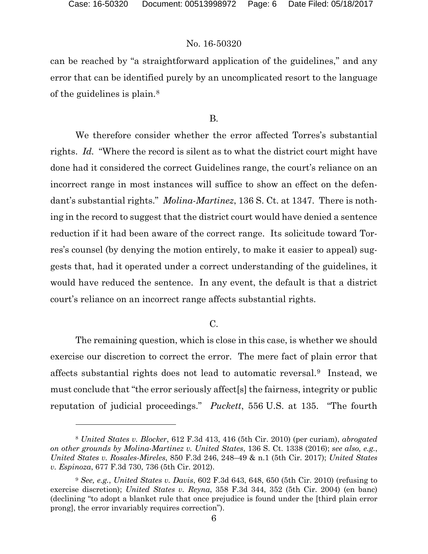# No. 16-50320

can be reached by "a straightforward application of the guidelines," and any error that can be identified purely by an uncomplicated resort to the language of the guidelines is plain.<sup>8</sup>

#### B.

We therefore consider whether the error affected Torres's substantial rights. *Id.* "Where the record is silent as to what the district court might have done had it considered the correct Guidelines range, the court's reliance on an incorrect range in most instances will suffice to show an effect on the defendant's substantial rights." *Molina-Martinez*, 136 S. Ct. at 1347. There is nothing in the record to suggest that the district court would have denied a sentence reduction if it had been aware of the correct range. Its solicitude toward Torres's counsel (by denying the motion entirely, to make it easier to appeal) suggests that, had it operated under a correct understanding of the guidelines, it would have reduced the sentence. In any event, the default is that a district court's reliance on an incorrect range affects substantial rights.

### $C<sub>1</sub>$

The remaining question, which is close in this case, is whether we should exercise our discretion to correct the error. The mere fact of plain error that affects substantial rights does not lead to automatic reversal.9 Instead, we must conclude that "the error seriously affect[s] the fairness, integrity or public reputation of judicial proceedings." *Puckett*, 556 U.S. at 135. "The fourth

<sup>8</sup> *United States v. Blocker*, 612 F.3d 413, 416 (5th Cir. 2010) (per curiam), *abrogated on other grounds by Molina-Martinez v. United States*, 136 S. Ct. 1338 (2016); *see also, e.g.*, *United States v. Rosales-Mireles*, 850 F.3d 246, 248–49 & n.1 (5th Cir. 2017); *United States v. Espinoza*, 677 F.3d 730, 736 (5th Cir. 2012).

<sup>9</sup> *See, e.g.*, *United States v. Davis*, 602 F.3d 643, 648, 650 (5th Cir. 2010) (refusing to exercise discretion); *United States v. Reyna*, 358 F.3d 344, 352 (5th Cir. 2004) (en banc) (declining "to adopt a blanket rule that once prejudice is found under the [third plain error prong], the error invariably requires correction").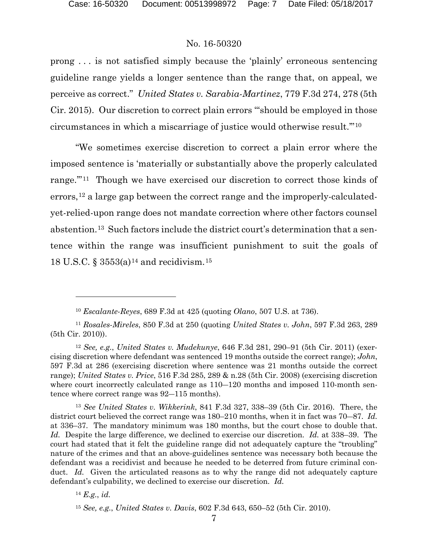### No. 16-50320

prong . . . is not satisfied simply because the 'plainly' erroneous sentencing guideline range yields a longer sentence than the range that, on appeal, we perceive as correct." *United States v. Sarabia-Martinez*, 779 F.3d 274, 278 (5th Cir. 2015). Our discretion to correct plain errors "'should be employed in those circumstances in which a miscarriage of justice would otherwise result.'"10

"We sometimes exercise discretion to correct a plain error where the imposed sentence is 'materially or substantially above the properly calculated range."<sup>11</sup> Though we have exercised our discretion to correct those kinds of errors,  $12$  a large gap between the correct range and the improperly-calculatedyet-relied-upon range does not mandate correction where other factors counsel abstention.13 Such factors include the district court's determination that a sentence within the range was insufficient punishment to suit the goals of 18 U.S.C. § 3553(a)<sup>14</sup> and recidivism.<sup>15</sup>

l

<sup>10</sup> *Escalante-Reyes*, 689 F.3d at 425 (quoting *Olano*, 507 U.S. at 736).

<sup>11</sup> *Rosales-Mireles*, 850 F.3d at 250 (quoting *United States v. John*, 597 F.3d 263, 289 (5th Cir. 2010)).

<sup>12</sup> *See, e.g.*, *United States v. Mudekunye*, 646 F.3d 281, 290–91 (5th Cir. 2011) (exercising discretion where defendant was sentenced 19 months outside the correct range); *John*, 597 F.3d at 286 (exercising discretion where sentence was 21 months outside the correct range); *United States v. Price*, 516 F.3d 285, 289 & n.28 (5th Cir. 2008) (exercising discretion where court incorrectly calculated range as  $110-120$  months and imposed 110-month sentence where correct range was 92―115 months).

<sup>13</sup> *See United States v. Wikkerink*, 841 F.3d 327, 338–39 (5th Cir. 2016). There, the district court believed the correct range was 180–210 months, when it in fact was 70―87. *Id.*  at 336–37. The mandatory minimum was 180 months, but the court chose to double that. *Id.* Despite the large difference, we declined to exercise our discretion. *Id.* at 338–39. The court had stated that it felt the guideline range did not adequately capture the "troubling" nature of the crimes and that an above-guidelines sentence was necessary both because the defendant was a recidivist and because he needed to be deterred from future criminal conduct. *Id.* Given the articulated reasons as to why the range did not adequately capture defendant's culpability, we declined to exercise our discretion. *Id.* 

<sup>14</sup> *E.g.*, *id.*

<sup>15</sup> *See, e.g.*, *United States v. Davis*, 602 F.3d 643, 650–52 (5th Cir. 2010).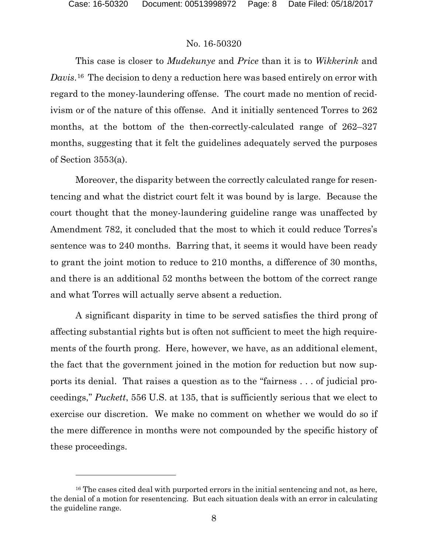$\overline{a}$ 

## No. 16-50320

This case is closer to *Mudekunye* and *Price* than it is to *Wikkerink* and *Davis*.16 The decision to deny a reduction here was based entirely on error with regard to the money-laundering offense. The court made no mention of recidivism or of the nature of this offense. And it initially sentenced Torres to 262 months, at the bottom of the then-correctly-calculated range of 262–327 months, suggesting that it felt the guidelines adequately served the purposes of Section 3553(a).

Moreover, the disparity between the correctly calculated range for resentencing and what the district court felt it was bound by is large. Because the court thought that the money-laundering guideline range was unaffected by Amendment 782, it concluded that the most to which it could reduce Torres's sentence was to 240 months. Barring that, it seems it would have been ready to grant the joint motion to reduce to 210 months, a difference of 30 months, and there is an additional 52 months between the bottom of the correct range and what Torres will actually serve absent a reduction.

A significant disparity in time to be served satisfies the third prong of affecting substantial rights but is often not sufficient to meet the high requirements of the fourth prong. Here, however, we have, as an additional element, the fact that the government joined in the motion for reduction but now supports its denial. That raises a question as to the "fairness . . . of judicial proceedings," *Puckett*, 556 U.S. at 135, that is sufficiently serious that we elect to exercise our discretion. We make no comment on whether we would do so if the mere difference in months were not compounded by the specific history of these proceedings.

<sup>&</sup>lt;sup>16</sup> The cases cited deal with purported errors in the initial sentencing and not, as here, the denial of a motion for resentencing. But each situation deals with an error in calculating the guideline range.